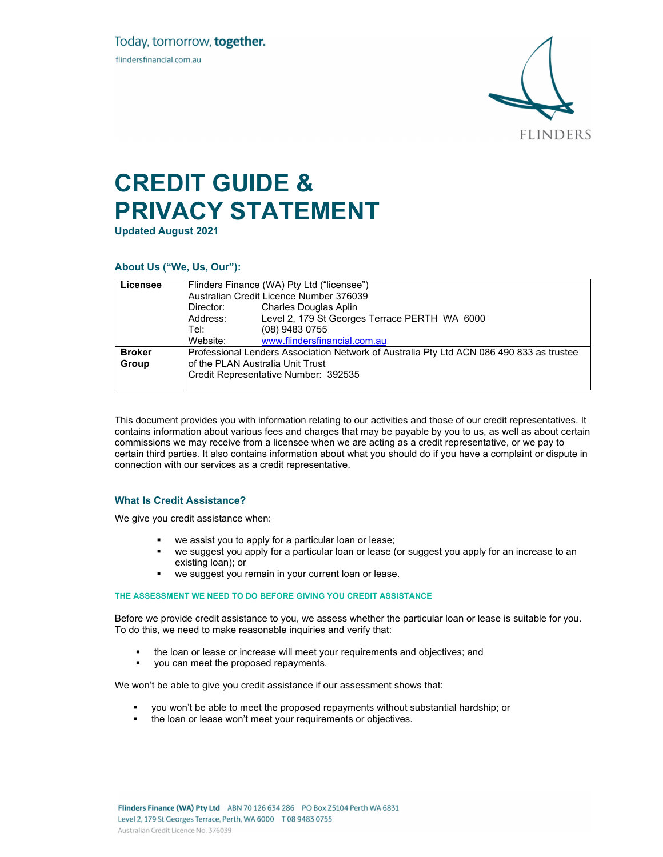

# **CREDIT GUIDE & PRIVACY STATEMENT**

**Updated August 2021** 

# **About Us ("We, Us, Our"):**

| Licensee      | Flinders Finance (WA) Pty Ltd ("licensee")<br>Australian Credit Licence Number 376039    |                                               |  |
|---------------|------------------------------------------------------------------------------------------|-----------------------------------------------|--|
|               |                                                                                          |                                               |  |
|               | Director:                                                                                | <b>Charles Douglas Aplin</b>                  |  |
|               | Address:                                                                                 | Level 2, 179 St Georges Terrace PERTH WA 6000 |  |
|               | Tel:                                                                                     | (08) 9483 0755                                |  |
|               | Website:                                                                                 | www.flindersfinancial.com.au                  |  |
| <b>Broker</b> | Professional Lenders Association Network of Australia Pty Ltd ACN 086 490 833 as trustee |                                               |  |
| Group         | of the PLAN Australia Unit Trust                                                         |                                               |  |
|               | Credit Representative Number: 392535                                                     |                                               |  |
|               |                                                                                          |                                               |  |

This document provides you with information relating to our activities and those of our credit representatives. It contains information about various fees and charges that may be payable by you to us, as well as about certain commissions we may receive from a licensee when we are acting as a credit representative, or we pay to certain third parties. It also contains information about what you should do if you have a complaint or dispute in connection with our services as a credit representative.

# **What Is Credit Assistance?**

We give you credit assistance when:

- we assist you to apply for a particular loan or lease;
- we suggest you apply for a particular loan or lease (or suggest you apply for an increase to an existing loan); or
- we suggest you remain in your current loan or lease.

# **THE ASSESSMENT WE NEED TO DO BEFORE GIVING YOU CREDIT ASSISTANCE**

Before we provide credit assistance to you, we assess whether the particular loan or lease is suitable for you. To do this, we need to make reasonable inquiries and verify that:

- the loan or lease or increase will meet your requirements and objectives; and
- you can meet the proposed repayments.

We won't be able to give you credit assistance if our assessment shows that:

- you won't be able to meet the proposed repayments without substantial hardship; or
- the loan or lease won't meet your requirements or objectives.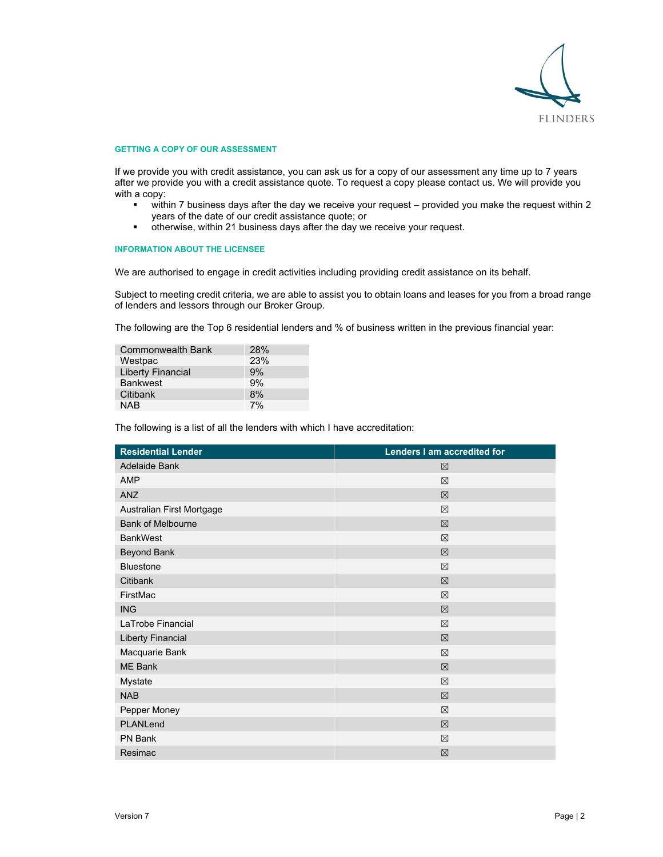

### **GETTING A COPY OF OUR ASSESSMENT**

If we provide you with credit assistance, you can ask us for a copy of our assessment any time up to 7 years after we provide you with a credit assistance quote. To request a copy please contact us. We will provide you with a copy:

- within 7 business days after the day we receive your request provided you make the request within 2 years of the date of our credit assistance quote; or
- otherwise, within 21 business days after the day we receive your request.

# **INFORMATION ABOUT THE LICENSEE**

We are authorised to engage in credit activities including providing credit assistance on its behalf.

Subject to meeting credit criteria, we are able to assist you to obtain loans and leases for you from a broad range of lenders and lessors through our Broker Group.

The following are the Top 6 residential lenders and % of business written in the previous financial year:

| <b>Commonwealth Bank</b> | 28% |
|--------------------------|-----|
| Westpac                  | 23% |
| <b>Liberty Financial</b> | 9%  |
| <b>Bankwest</b>          | 9%  |
| Citibank                 | 8%  |
| NAB                      | 7%  |

The following is a list of all the lenders with which I have accreditation:

| <b>Residential Lender</b> | Lenders I am accredited for |
|---------------------------|-----------------------------|
| Adelaide Bank             | ⊠                           |
| <b>AMP</b>                | ⊠                           |
| <b>ANZ</b>                | 区                           |
| Australian First Mortgage | ⊠                           |
| <b>Bank of Melbourne</b>  | 区                           |
| <b>BankWest</b>           | ⊠                           |
| <b>Beyond Bank</b>        | $\boxtimes$                 |
| <b>Bluestone</b>          | ⊠                           |
| Citibank                  | 区                           |
| FirstMac                  | ⊠                           |
| <b>ING</b>                | ⊠                           |
| LaTrobe Financial         | ⊠                           |
| <b>Liberty Financial</b>  | 区                           |
| Macquarie Bank            | ⊠                           |
| ME Bank                   | 区                           |
| Mystate                   | ⊠                           |
| <b>NAB</b>                | $\boxtimes$                 |
| Pepper Money              | $\boxtimes$                 |
| PLANLend                  | 区                           |
| PN Bank                   | $\boxtimes$                 |
| Resimac                   | $\boxtimes$                 |
|                           |                             |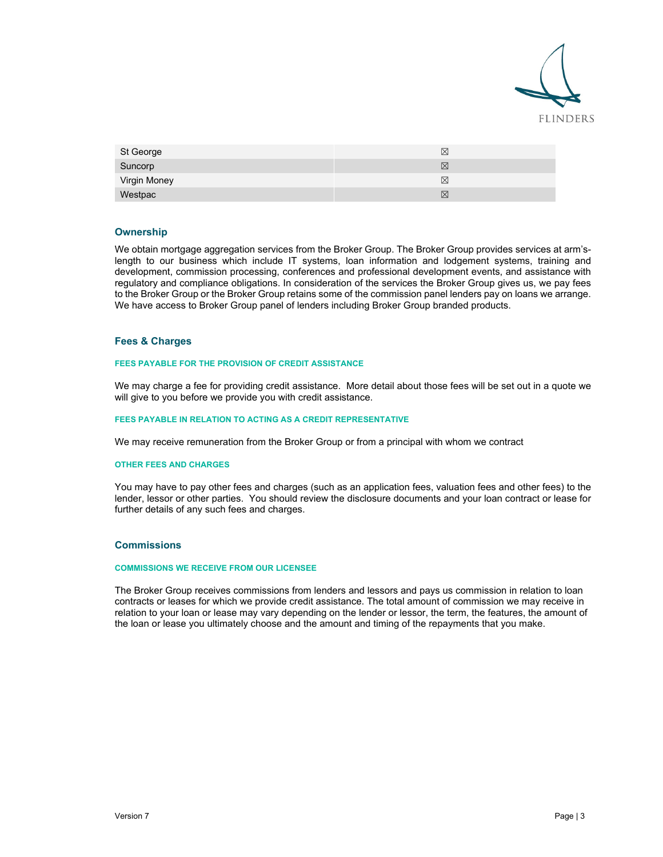

| St George    | X |
|--------------|---|
| Suncorp      | ⊠ |
| Virgin Money | ⊠ |
| Westpac      | ⊠ |

# **Ownership**

We obtain mortgage aggregation services from the Broker Group. The Broker Group provides services at arm'slength to our business which include IT systems, loan information and lodgement systems, training and development, commission processing, conferences and professional development events, and assistance with regulatory and compliance obligations. In consideration of the services the Broker Group gives us, we pay fees to the Broker Group or the Broker Group retains some of the commission panel lenders pay on loans we arrange. We have access to Broker Group panel of lenders including Broker Group branded products.

## **Fees & Charges**

#### **FEES PAYABLE FOR THE PROVISION OF CREDIT ASSISTANCE**

We may charge a fee for providing credit assistance. More detail about those fees will be set out in a quote we will give to you before we provide you with credit assistance.

#### **FEES PAYABLE IN RELATION TO ACTING AS A CREDIT REPRESENTATIVE**

We may receive remuneration from the Broker Group or from a principal with whom we contract

# **OTHER FEES AND CHARGES**

You may have to pay other fees and charges (such as an application fees, valuation fees and other fees) to the lender, lessor or other parties. You should review the disclosure documents and your loan contract or lease for further details of any such fees and charges.

## **Commissions**

#### **COMMISSIONS WE RECEIVE FROM OUR LICENSEE**

The Broker Group receives commissions from lenders and lessors and pays us commission in relation to loan contracts or leases for which we provide credit assistance. The total amount of commission we may receive in relation to your loan or lease may vary depending on the lender or lessor, the term, the features, the amount of the loan or lease you ultimately choose and the amount and timing of the repayments that you make.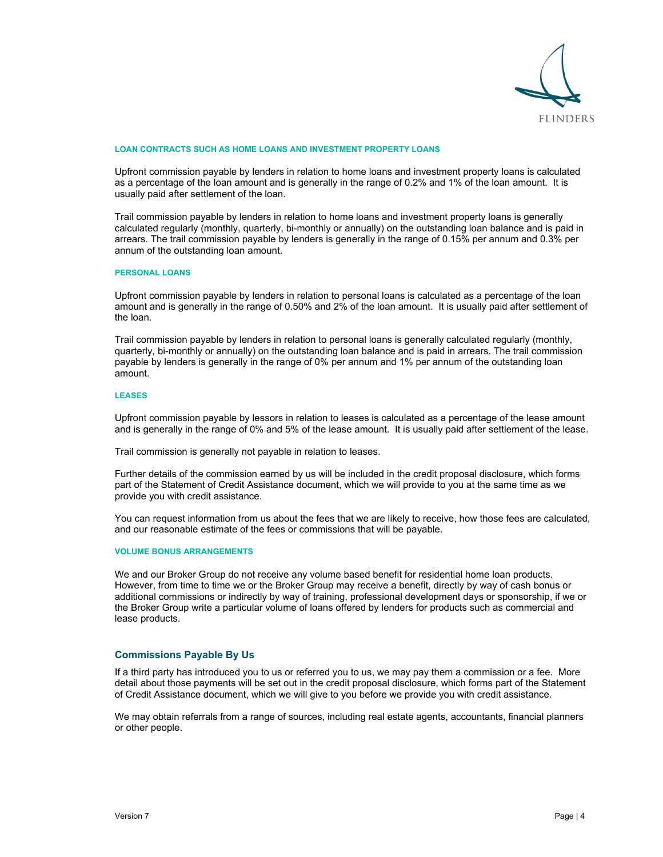

#### **LOAN CONTRACTS SUCH AS HOME LOANS AND INVESTMENT PROPERTY LOANS**

Upfront commission payable by lenders in relation to home loans and investment property loans is calculated as a percentage of the loan amount and is generally in the range of 0.2% and 1% of the loan amount. It is usually paid after settlement of the loan.

Trail commission payable by lenders in relation to home loans and investment property loans is generally calculated regularly (monthly, quarterly, bi-monthly or annually) on the outstanding loan balance and is paid in arrears. The trail commission payable by lenders is generally in the range of 0.15% per annum and 0.3% per annum of the outstanding loan amount.

#### **PERSONAL LOANS**

Upfront commission payable by lenders in relation to personal loans is calculated as a percentage of the loan amount and is generally in the range of 0.50% and 2% of the loan amount. It is usually paid after settlement of the loan.

Trail commission payable by lenders in relation to personal loans is generally calculated regularly (monthly, quarterly, bi-monthly or annually) on the outstanding loan balance and is paid in arrears. The trail commission payable by lenders is generally in the range of 0% per annum and 1% per annum of the outstanding loan amount.

#### **LEASES**

Upfront commission payable by lessors in relation to leases is calculated as a percentage of the lease amount and is generally in the range of 0% and 5% of the lease amount. It is usually paid after settlement of the lease.

Trail commission is generally not payable in relation to leases.

Further details of the commission earned by us will be included in the credit proposal disclosure, which forms part of the Statement of Credit Assistance document, which we will provide to you at the same time as we provide you with credit assistance.

You can request information from us about the fees that we are likely to receive, how those fees are calculated, and our reasonable estimate of the fees or commissions that will be payable.

#### **VOLUME BONUS ARRANGEMENTS**

We and our Broker Group do not receive any volume based benefit for residential home loan products. However, from time to time we or the Broker Group may receive a benefit, directly by way of cash bonus or additional commissions or indirectly by way of training, professional development days or sponsorship, if we or the Broker Group write a particular volume of loans offered by lenders for products such as commercial and lease products.

# **Commissions Payable By Us**

If a third party has introduced you to us or referred you to us, we may pay them a commission or a fee. More detail about those payments will be set out in the credit proposal disclosure, which forms part of the Statement of Credit Assistance document, which we will give to you before we provide you with credit assistance.

We may obtain referrals from a range of sources, including real estate agents, accountants, financial planners or other people.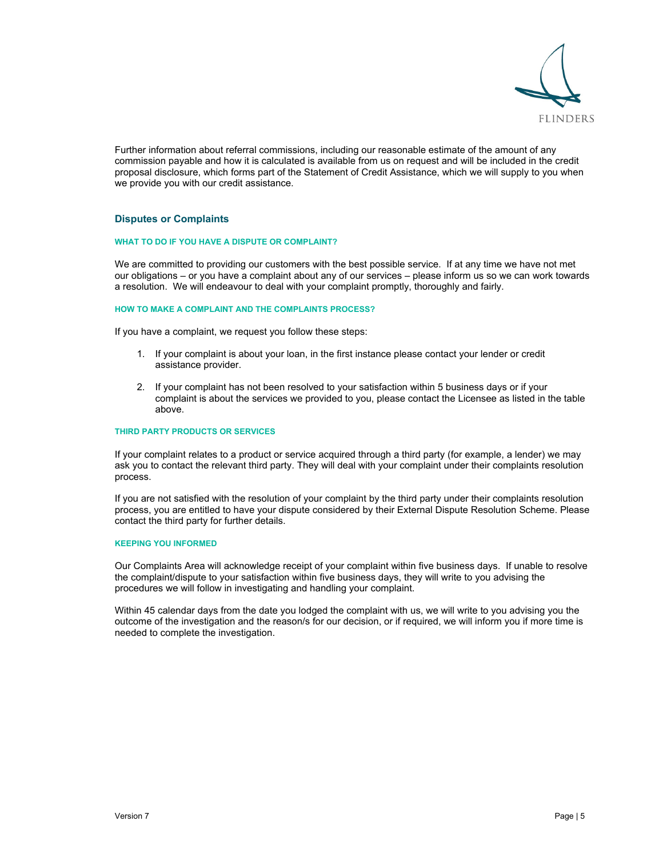

Further information about referral commissions, including our reasonable estimate of the amount of any commission payable and how it is calculated is available from us on request and will be included in the credit proposal disclosure, which forms part of the Statement of Credit Assistance, which we will supply to you when we provide you with our credit assistance.

# **Disputes or Complaints**

## **WHAT TO DO IF YOU HAVE A DISPUTE OR COMPLAINT?**

We are committed to providing our customers with the best possible service. If at any time we have not met our obligations – or you have a complaint about any of our services – please inform us so we can work towards a resolution. We will endeavour to deal with your complaint promptly, thoroughly and fairly.

#### **HOW TO MAKE A COMPLAINT AND THE COMPLAINTS PROCESS?**

If you have a complaint, we request you follow these steps:

- 1. If your complaint is about your loan, in the first instance please contact your lender or credit assistance provider.
- 2. If your complaint has not been resolved to your satisfaction within 5 business days or if your complaint is about the services we provided to you, please contact the Licensee as listed in the table above.

## **THIRD PARTY PRODUCTS OR SERVICES**

If your complaint relates to a product or service acquired through a third party (for example, a lender) we may ask you to contact the relevant third party. They will deal with your complaint under their complaints resolution process.

If you are not satisfied with the resolution of your complaint by the third party under their complaints resolution process, you are entitled to have your dispute considered by their External Dispute Resolution Scheme. Please contact the third party for further details.

#### **KEEPING YOU INFORMED**

Our Complaints Area will acknowledge receipt of your complaint within five business days. If unable to resolve the complaint/dispute to your satisfaction within five business days, they will write to you advising the procedures we will follow in investigating and handling your complaint.

Within 45 calendar days from the date you lodged the complaint with us, we will write to you advising you the outcome of the investigation and the reason/s for our decision, or if required, we will inform you if more time is needed to complete the investigation.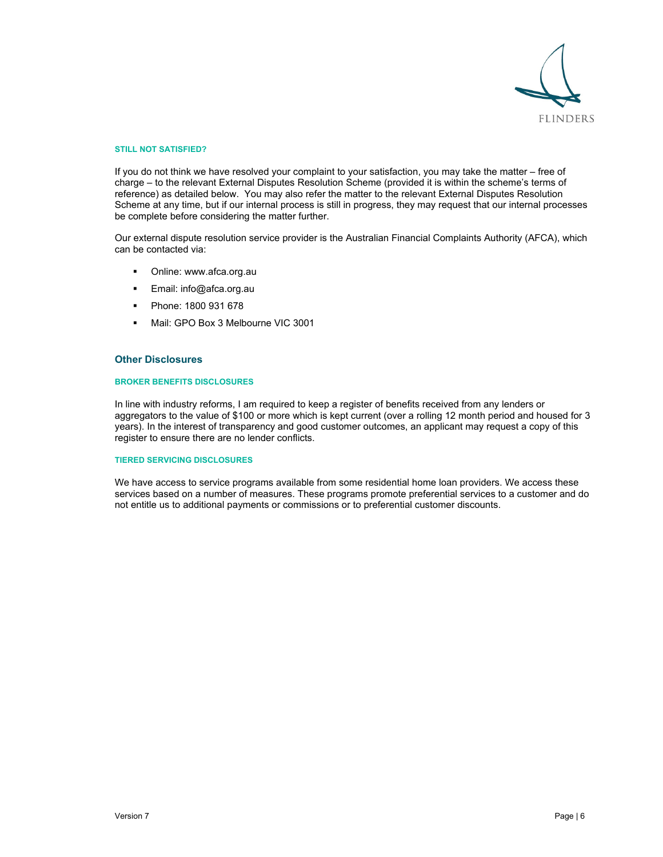

#### **STILL NOT SATISFIED?**

If you do not think we have resolved your complaint to your satisfaction, you may take the matter – free of charge – to the relevant External Disputes Resolution Scheme (provided it is within the scheme's terms of reference) as detailed below. You may also refer the matter to the relevant External Disputes Resolution Scheme at any time, but if our internal process is still in progress, they may request that our internal processes be complete before considering the matter further.

Our external dispute resolution service provider is the Australian Financial Complaints Authority (AFCA), which can be contacted via:

- Online: www.afca.org.au
- Email: info@afca.org.au
- Phone: 1800 931 678
- Mail: GPO Box 3 Melbourne VIC 3001

## **Other Disclosures**

# **BROKER BENEFITS DISCLOSURES**

In line with industry reforms, I am required to keep a register of benefits received from any lenders or aggregators to the value of \$100 or more which is kept current (over a rolling 12 month period and housed for 3 years). In the interest of transparency and good customer outcomes, an applicant may request a copy of this register to ensure there are no lender conflicts.

## **TIERED SERVICING DISCLOSURES**

We have access to service programs available from some residential home loan providers. We access these services based on a number of measures. These programs promote preferential services to a customer and do not entitle us to additional payments or commissions or to preferential customer discounts.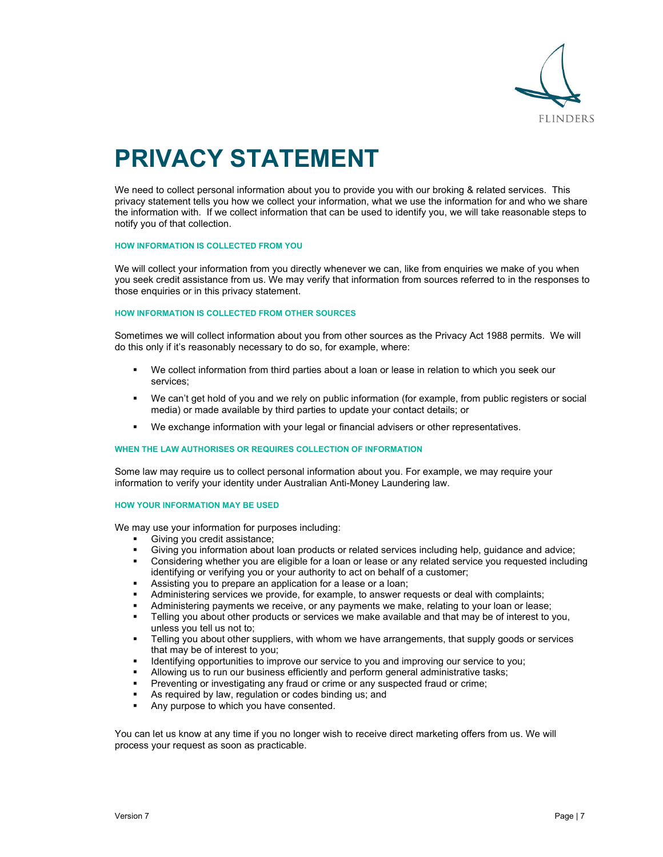

# **PRIVACY STATEMENT**

We need to collect personal information about you to provide you with our broking & related services. This privacy statement tells you how we collect your information, what we use the information for and who we share the information with. If we collect information that can be used to identify you, we will take reasonable steps to notify you of that collection.

#### **HOW INFORMATION IS COLLECTED FROM YOU**

We will collect your information from you directly whenever we can, like from enquiries we make of you when you seek credit assistance from us. We may verify that information from sources referred to in the responses to those enquiries or in this privacy statement.

# **HOW INFORMATION IS COLLECTED FROM OTHER SOURCES**

Sometimes we will collect information about you from other sources as the Privacy Act 1988 permits. We will do this only if it's reasonably necessary to do so, for example, where:

- We collect information from third parties about a loan or lease in relation to which you seek our services;
- We can't get hold of you and we rely on public information (for example, from public registers or social media) or made available by third parties to update your contact details; or
- We exchange information with your legal or financial advisers or other representatives.

#### **WHEN THE LAW AUTHORISES OR REQUIRES COLLECTION OF INFORMATION**

Some law may require us to collect personal information about you. For example, we may require your information to verify your identity under Australian Anti-Money Laundering law.

#### **HOW YOUR INFORMATION MAY BE USED**

We may use your information for purposes including:

- Giving you credit assistance;
- Giving you information about loan products or related services including help, guidance and advice;
- Considering whether you are eligible for a loan or lease or any related service you requested including identifying or verifying you or your authority to act on behalf of a customer;
- Assisting you to prepare an application for a lease or a loan;
- Administering services we provide, for example, to answer requests or deal with complaints;
- Administering payments we receive, or any payments we make, relating to your loan or lease;
- Telling you about other products or services we make available and that may be of interest to you, unless you tell us not to;
- Telling you about other suppliers, with whom we have arrangements, that supply goods or services that may be of interest to you;
- Identifying opportunities to improve our service to you and improving our service to you;
- Allowing us to run our business efficiently and perform general administrative tasks;
- Preventing or investigating any fraud or crime or any suspected fraud or crime;
- As required by law, regulation or codes binding us; and
- Any purpose to which you have consented.

You can let us know at any time if you no longer wish to receive direct marketing offers from us. We will process your request as soon as practicable.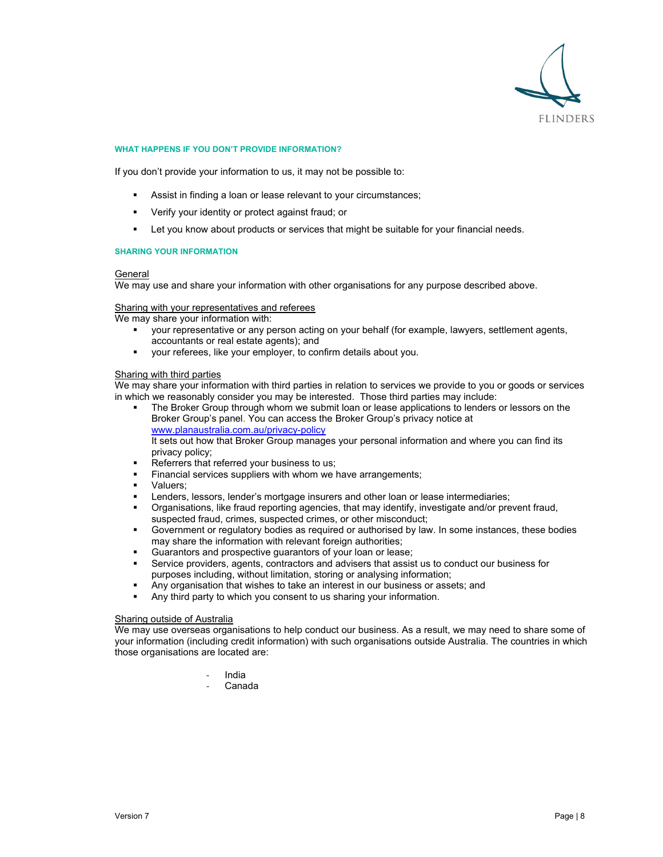

# **WHAT HAPPENS IF YOU DON'T PROVIDE INFORMATION?**

If you don't provide your information to us, it may not be possible to:

- Assist in finding a loan or lease relevant to your circumstances;
- Verify your identity or protect against fraud; or
- Let you know about products or services that might be suitable for your financial needs.

#### **SHARING YOUR INFORMATION**

## General

We may use and share your information with other organisations for any purpose described above.

### Sharing with your representatives and referees

We may share your information with:

- your representative or any person acting on your behalf (for example, lawyers, settlement agents, accountants or real estate agents); and
- your referees, like your employer, to confirm details about you.

# Sharing with third parties

We may share your information with third parties in relation to services we provide to you or goods or services in which we reasonably consider you may be interested. Those third parties may include:

- The Broker Group through whom we submit loan or lease applications to lenders or lessors on the Broker Group's panel. You can access the Broker Group's privacy notice at www.planaustralia.com.au/privacy-policy It sets out how that Broker Group manages your personal information and where you can find its privacy policy;
- Referrers that referred your business to us;
- Financial services suppliers with whom we have arrangements;
- **valuers:**
- Lenders, lessors, lender's mortgage insurers and other loan or lease intermediaries;
- Organisations, like fraud reporting agencies, that may identify, investigate and/or prevent fraud, suspected fraud, crimes, suspected crimes, or other misconduct;
- Government or regulatory bodies as required or authorised by law. In some instances, these bodies may share the information with relevant foreign authorities;
- Guarantors and prospective guarantors of your loan or lease;
- Service providers, agents, contractors and advisers that assist us to conduct our business for purposes including, without limitation, storing or analysing information;
- Any organisation that wishes to take an interest in our business or assets; and
- Any third party to which you consent to us sharing your information.

# **Sharing outside of Australia**

We may use overseas organisations to help conduct our business. As a result, we may need to share some of your information (including credit information) with such organisations outside Australia. The countries in which those organisations are located are:

- ‐ India
- ‐ Canada